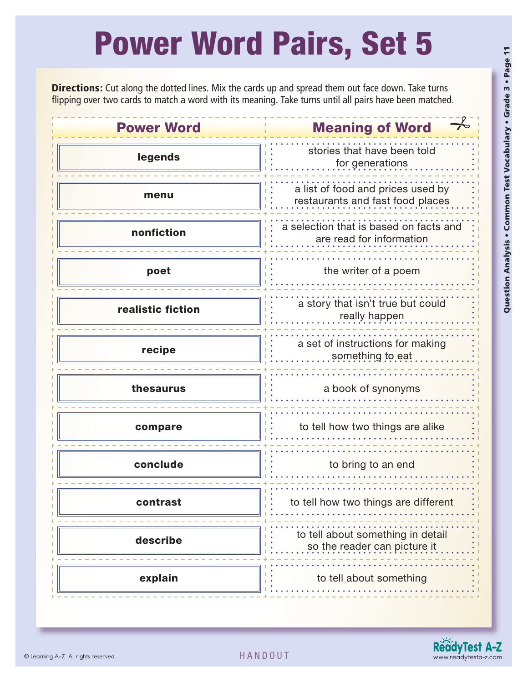## Power Word Pairs, Set 5

**Directions:** Cut along the dotted lines. Mix the cards up and spread them out face down. Take turns flipping over two cards to match a word with its meaning. Take turns until all pairs have been matched.